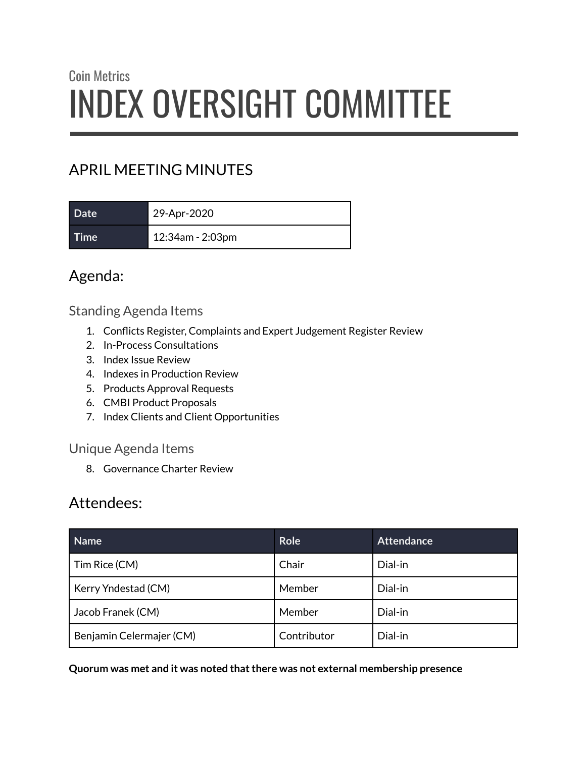# Coin Metrics INDEX OVERSIGHT COMMITTEE

# APRIL MEETING MINUTES

| Date <sup>1</sup> | 29-Apr-2020      |
|-------------------|------------------|
| Time              | 12:34am - 2:03pm |

# Agenda:

#### Standing Agenda Items

- 1. Conflicts Register, Complaints and Expert Judgement Register Review
- 2. In-Process Consultations
- 3. Index Issue Review
- 4. Indexes in Production Review
- 5. Products Approval Requests
- 6. CMBI Product Proposals
- 7. Index Clients and Client Opportunities

#### Unique Agenda Items

8. Governance Charter Review

# Attendees:

| <b>Name</b>              | <b>Role</b> | <b>Attendance</b> |
|--------------------------|-------------|-------------------|
| Tim Rice (CM)            | Chair       | Dial-in           |
| Kerry Yndestad (CM)      | Member      | Dial-in           |
| Jacob Franek (CM)        | Member      | Dial-in           |
| Benjamin Celermajer (CM) | Contributor | Dial-in           |

**Quorum was met and it was noted thatthere was not external membership presence**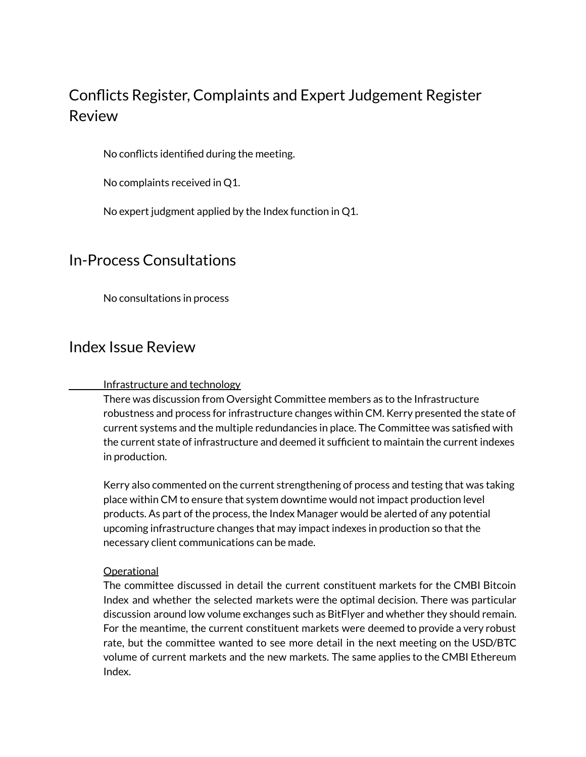# Conflicts Register, Complaints and Expert Judgement Register Review

No conflicts identified during the meeting.

No complaints received in Q1.

No expert judgment applied by the Index function in Q1.

## In-Process Consultations

No consultations in process

## Index Issue Review

#### Infrastructure and technology

There was discussion from Oversight Committee members as to the Infrastructure robustness and process for infrastructure changes within CM. Kerry presented the state of current systems and the multiple redundancies in place. The Committee was satisfied with the current state of infrastructure and deemed it sufficient to maintain the current indexes in production.

Kerry also commented on the current strengthening of process and testing that was taking place within CM to ensure that system downtime would not impact production level products. As part of the process, the Index Manager would be alerted of any potential upcoming infrastructure changes that may impact indexes in production so that the necessary client communications can be made.

#### **Operational**

The committee discussed in detail the current constituent markets for the CMBI Bitcoin Index and whether the selected markets were the optimal decision. There was particular discussion around low volume exchanges such as BitFlyer and whether they should remain. For the meantime, the current constituent markets were deemed to provide a very robust rate, but the committee wanted to see more detail in the next meeting on the USD/BTC volume of current markets and the new markets. The same applies to the CMBI Ethereum Index.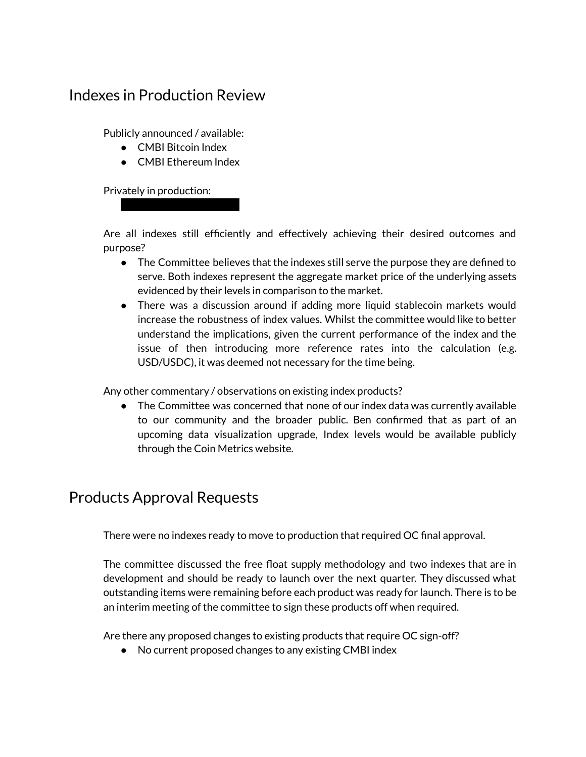# Indexes in Production Review

Publicly announced / available:

- CMBI Bitcoin Index
- CMBI Ethereum Index

 $\sim$  XXX $\sim$ 

Privately in production:

Are all indexes still efficiently and effectively achieving their desired outcomes and purpose?

- The Committee believes that the indexes still serve the purpose they are defined to serve. Both indexes represent the aggregate market price of the underlying assets evidenced by their levels in comparison to the market.
- There was a discussion around if adding more liquid stablecoin markets would increase the robustness of index values. Whilst the committee would like to better understand the implications, given the current performance of the index and the issue of then introducing more reference rates into the calculation (e.g. USD/USDC), it was deemed not necessary for the time being.

Any other commentary / observations on existing index products?

● The Committee was concerned that none of our index data was currently available to our community and the broader public. Ben confirmed that as part of an upcoming data visualization upgrade, Index levels would be available publicly through the Coin Metrics website.

# Products Approval Requests

There were no indexes ready to move to production that required OC final approval.

The committee discussed the free float supply methodology and two indexes that are in development and should be ready to launch over the next quarter. They discussed what outstanding items were remaining before each product was ready for launch. There is to be an interim meeting of the committee to sign these products off when required.

Are there any proposed changes to existing products that require OC sign-off?

● No current proposed changes to any existing CMBI index